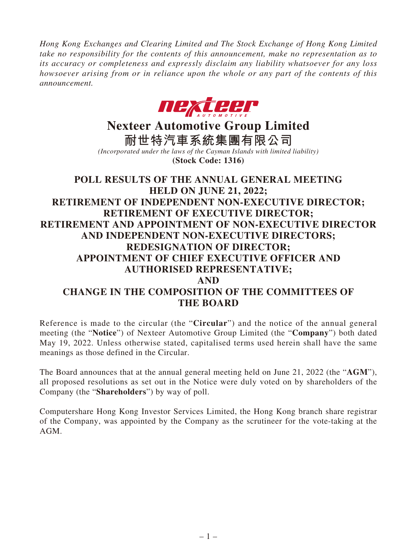*Hong Kong Exchanges and Clearing Limited and The Stock Exchange of Hong Kong Limited take no responsibility for the contents of this announcement, make no representation as to its accuracy or completeness and expressly disclaim any liability whatsoever for any loss howsoever arising from or in reliance upon the whole or any part of the contents of this announcement.*



# **Nexteer Automotive Group Limited**

**耐世特汽車系統集團有限公司** *(Incorporated under the laws of the Cayman Islands with limited liability)* **(Stock Code: 1316)**

# **POLL RESULTS OF THE ANNUAL GENERAL MEETING HELD ON JUNE 21, 2022; RETIREMENT OF INDEPENDENT NON-EXECUTIVE DIRECTOR; RETIREMENT OF EXECUTIVE DIRECTOR; RETIREMENT AND APPOINTMENT OF NON-EXECUTIVE DIRECTOR AND INDEPENDENT NON-EXECUTIVE DIRECTORS; REDESIGNATION OF DIRECTOR; APPOINTMENT OF CHIEF EXECUTIVE OFFICER AND AUTHORISED REPRESENTATIVE; AND CHANGE IN THE COMPOSITION OF THE COMMITTEES OF THE BOARD**

Reference is made to the circular (the "**Circular**") and the notice of the annual general meeting (the "**Notice**") of Nexteer Automotive Group Limited (the "**Company**") both dated May 19, 2022. Unless otherwise stated, capitalised terms used herein shall have the same meanings as those defined in the Circular.

The Board announces that at the annual general meeting held on June 21, 2022 (the "**AGM**"), all proposed resolutions as set out in the Notice were duly voted on by shareholders of the Company (the "**Shareholders**") by way of poll.

Computershare Hong Kong Investor Services Limited, the Hong Kong branch share registrar of the Company, was appointed by the Company as the scrutineer for the vote-taking at the AGM.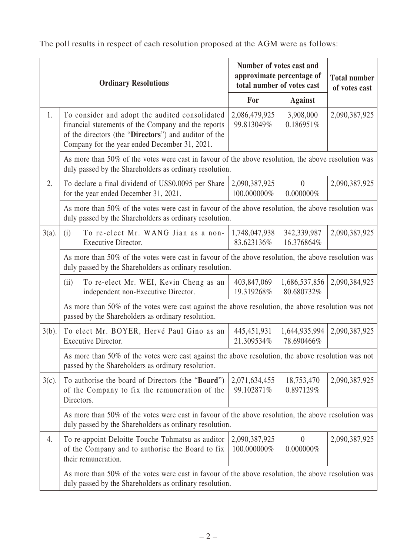| <b>Ordinary Resolutions</b> |                                                                                                                                                                                                                 | Number of votes cast and<br>approximate percentage of<br>total number of votes cast |                                | <b>Total number</b><br>of votes cast |  |  |
|-----------------------------|-----------------------------------------------------------------------------------------------------------------------------------------------------------------------------------------------------------------|-------------------------------------------------------------------------------------|--------------------------------|--------------------------------------|--|--|
|                             |                                                                                                                                                                                                                 |                                                                                     | <b>Against</b>                 |                                      |  |  |
| 1.                          | To consider and adopt the audited consolidated<br>financial statements of the Company and the reports<br>of the directors (the "Directors") and auditor of the<br>Company for the year ended December 31, 2021. | 2,086,479,925<br>99.813049%                                                         | 3,908,000<br>0.186951%         | 2,090,387,925                        |  |  |
|                             | As more than 50% of the votes were cast in favour of the above resolution, the above resolution was<br>duly passed by the Shareholders as ordinary resolution.                                                  |                                                                                     |                                |                                      |  |  |
| 2.                          | To declare a final dividend of US\$0.0095 per Share<br>for the year ended December 31, 2021.                                                                                                                    | 2,090,387,925<br>100.000000%                                                        | $\overline{0}$<br>$0.000000\%$ | 2,090,387,925                        |  |  |
|                             | As more than 50% of the votes were cast in favour of the above resolution, the above resolution was<br>duly passed by the Shareholders as ordinary resolution.                                                  |                                                                                     |                                |                                      |  |  |
| $3(a)$ .                    | To re-elect Mr. WANG Jian as a non-<br>(i)<br>Executive Director.                                                                                                                                               | 1,748,047,938<br>83.623136%                                                         | 342,339,987<br>16.376864%      | 2,090,387,925                        |  |  |
|                             | As more than 50% of the votes were cast in favour of the above resolution, the above resolution was<br>duly passed by the Shareholders as ordinary resolution.                                                  |                                                                                     |                                |                                      |  |  |
|                             | To re-elect Mr. WEI, Kevin Cheng as an<br>(ii)<br>independent non-Executive Director.                                                                                                                           | 403,847,069<br>19.319268%                                                           | 1,686,537,856<br>80.680732%    | 2,090,384,925                        |  |  |
|                             | As more than 50% of the votes were cast against the above resolution, the above resolution was not<br>passed by the Shareholders as ordinary resolution.                                                        |                                                                                     |                                |                                      |  |  |
| $3(b)$ .                    | To elect Mr. BOYER, Hervé Paul Gino as an<br>Executive Director.                                                                                                                                                | 445, 451, 931<br>21.309534%                                                         | 1,644,935,994<br>78.690466%    | 2,090,387,925                        |  |  |
|                             | As more than 50% of the votes were cast against the above resolution, the above resolution was not<br>passed by the Shareholders as ordinary resolution.                                                        |                                                                                     |                                |                                      |  |  |
| $3(c)$ .                    | To authorise the board of Directors (the "Board")<br>of the Company to fix the remuneration of the<br>Directors.                                                                                                | 2,071,634,455<br>99.102871%                                                         | 18,753,470<br>0.897129%        | 2,090,387,925                        |  |  |
|                             | As more than 50% of the votes were cast in favour of the above resolution, the above resolution was<br>duly passed by the Shareholders as ordinary resolution.                                                  |                                                                                     |                                |                                      |  |  |
| 4.                          | To re-appoint Deloitte Touche Tohmatsu as auditor<br>of the Company and to authorise the Board to fix<br>their remuneration.                                                                                    | 2,090,387,925<br>100.000000%                                                        | $\theta$<br>$0.000000\%$       | 2,090,387,925                        |  |  |
|                             | As more than 50% of the votes were cast in favour of the above resolution, the above resolution was<br>duly passed by the Shareholders as ordinary resolution.                                                  |                                                                                     |                                |                                      |  |  |

The poll results in respect of each resolution proposed at the AGM were as follows: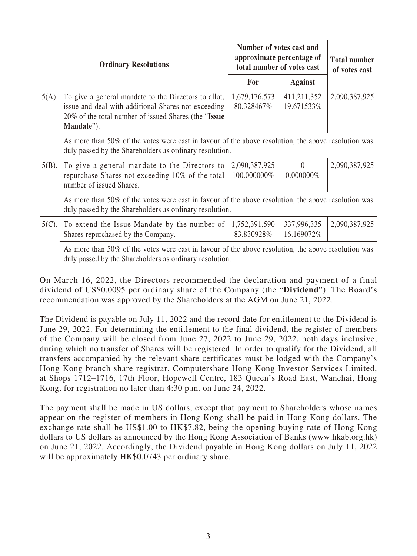| <b>Ordinary Resolutions</b> |                                                                                                                                                                                    | Number of votes cast and<br>approximate percentage of<br>total number of votes cast |                           | <b>Total number</b><br>of votes cast |  |
|-----------------------------|------------------------------------------------------------------------------------------------------------------------------------------------------------------------------------|-------------------------------------------------------------------------------------|---------------------------|--------------------------------------|--|
|                             |                                                                                                                                                                                    |                                                                                     | <b>Against</b>            |                                      |  |
| $5(A)$ .                    | To give a general mandate to the Directors to allot,<br>issue and deal with additional Shares not exceeding<br>20% of the total number of issued Shares (the "Issue"<br>Mandate"). | 1,679,176,573<br>80.328467%                                                         | 411,211,352<br>19.671533% | 2,090,387,925                        |  |
|                             | As more than 50% of the votes were cast in favour of the above resolution, the above resolution was<br>duly passed by the Shareholders as ordinary resolution.                     |                                                                                     |                           |                                      |  |
| $5(B)$ .                    | To give a general mandate to the Directors to<br>repurchase Shares not exceeding 10% of the total<br>number of issued Shares.                                                      | 2,090,387,925<br>100.000000%                                                        | $\theta$<br>$0.000000\%$  | 2,090,387,925                        |  |
|                             | As more than 50% of the votes were cast in favour of the above resolution, the above resolution was<br>duly passed by the Shareholders as ordinary resolution.                     |                                                                                     |                           |                                      |  |
| $5(C)$ .                    | To extend the Issue Mandate by the number of<br>Shares repurchased by the Company.                                                                                                 | 1,752,391,590<br>83.830928%                                                         | 337,996,335<br>16.169072% | 2,090,387,925                        |  |
|                             | As more than 50% of the votes were cast in favour of the above resolution, the above resolution was<br>duly passed by the Shareholders as ordinary resolution.                     |                                                                                     |                           |                                      |  |

On March 16, 2022, the Directors recommended the declaration and payment of a final dividend of US\$0.0095 per ordinary share of the Company (the "**Dividend**"). The Board's recommendation was approved by the Shareholders at the AGM on June 21, 2022.

The Dividend is payable on July 11, 2022 and the record date for entitlement to the Dividend is June 29, 2022. For determining the entitlement to the final dividend, the register of members of the Company will be closed from June 27, 2022 to June 29, 2022, both days inclusive, during which no transfer of Shares will be registered. In order to qualify for the Dividend, all transfers accompanied by the relevant share certificates must be lodged with the Company's Hong Kong branch share registrar, Computershare Hong Kong Investor Services Limited, at Shops 1712–1716, 17th Floor, Hopewell Centre, 183 Queen's Road East, Wanchai, Hong Kong, for registration no later than 4:30 p.m. on June 24, 2022.

The payment shall be made in US dollars, except that payment to Shareholders whose names appear on the register of members in Hong Kong shall be paid in Hong Kong dollars. The exchange rate shall be US\$1.00 to HK\$7.82, being the opening buying rate of Hong Kong dollars to US dollars as announced by the Hong Kong Association of Banks (www.hkab.org.hk) on June 21, 2022. Accordingly, the Dividend payable in Hong Kong dollars on July 11, 2022 will be approximately HK\$0.0743 per ordinary share.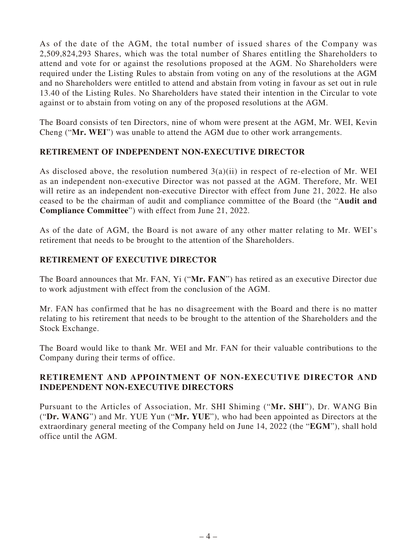As of the date of the AGM, the total number of issued shares of the Company was 2,509,824,293 Shares, which was the total number of Shares entitling the Shareholders to attend and vote for or against the resolutions proposed at the AGM. No Shareholders were required under the Listing Rules to abstain from voting on any of the resolutions at the AGM and no Shareholders were entitled to attend and abstain from voting in favour as set out in rule 13.40 of the Listing Rules. No Shareholders have stated their intention in the Circular to vote against or to abstain from voting on any of the proposed resolutions at the AGM.

The Board consists of ten Directors, nine of whom were present at the AGM, Mr. WEI, Kevin Cheng ("**Mr. WEI**") was unable to attend the AGM due to other work arrangements.

#### **RETIREMENT OF INDEPENDENT NON-EXECUTIVE DIRECTOR**

As disclosed above, the resolution numbered  $3(a)(ii)$  in respect of re-election of Mr. WEI as an independent non-executive Director was not passed at the AGM. Therefore, Mr. WEI will retire as an independent non-executive Director with effect from June 21, 2022. He also ceased to be the chairman of audit and compliance committee of the Board (the "**Audit and Compliance Committee**") with effect from June 21, 2022.

As of the date of AGM, the Board is not aware of any other matter relating to Mr. WEI's retirement that needs to be brought to the attention of the Shareholders.

# **RETIREMENT OF EXECUTIVE DIRECTOR**

The Board announces that Mr. FAN, Yi ("**Mr. FAN**") has retired as an executive Director due to work adjustment with effect from the conclusion of the AGM.

Mr. FAN has confirmed that he has no disagreement with the Board and there is no matter relating to his retirement that needs to be brought to the attention of the Shareholders and the Stock Exchange.

The Board would like to thank Mr. WEI and Mr. FAN for their valuable contributions to the Company during their terms of office.

# **RETIREMENT AND APPOINTMENT OF NON-EXECUTIVE DIRECTOR AND INDEPENDENT NON-EXECUTIVE DIRECTORS**

Pursuant to the Articles of Association, Mr. SHI Shiming ("**Mr. SHI**"), Dr. WANG Bin ("**Dr. WANG**") and Mr. YUE Yun ("**Mr. YUE**"), who had been appointed as Directors at the extraordinary general meeting of the Company held on June 14, 2022 (the "**EGM**"), shall hold office until the AGM.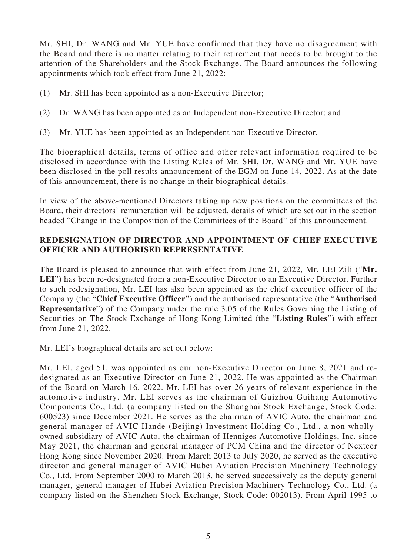Mr. SHI, Dr. WANG and Mr. YUE have confirmed that they have no disagreement with the Board and there is no matter relating to their retirement that needs to be brought to the attention of the Shareholders and the Stock Exchange. The Board announces the following appointments which took effect from June 21, 2022:

- (1) Mr. SHI has been appointed as a non-Executive Director;
- (2) Dr. WANG has been appointed as an Independent non-Executive Director; and
- (3) Mr. YUE has been appointed as an Independent non-Executive Director.

The biographical details, terms of office and other relevant information required to be disclosed in accordance with the Listing Rules of Mr. SHI, Dr. WANG and Mr. YUE have been disclosed in the poll results announcement of the EGM on June 14, 2022. As at the date of this announcement, there is no change in their biographical details.

In view of the above-mentioned Directors taking up new positions on the committees of the Board, their directors' remuneration will be adjusted, details of which are set out in the section headed "Change in the Composition of the Committees of the Board" of this announcement.

#### **REDESIGNATION OF DIRECTOR AND APPOINTMENT OF CHIEF EXECUTIVE OFFICER AND AUTHORISED REPRESENTATIVE**

The Board is pleased to announce that with effect from June 21, 2022, Mr. LEI Zili ("**Mr. LEI**") has been re-designated from a non-Executive Director to an Executive Director. Further to such redesignation, Mr. LEI has also been appointed as the chief executive officer of the Company (the "**Chief Executive Officer**") and the authorised representative (the "**Authorised Representative**") of the Company under the rule 3.05 of the Rules Governing the Listing of Securities on The Stock Exchange of Hong Kong Limited (the "**Listing Rules**") with effect from June 21, 2022.

Mr. LEI's biographical details are set out below:

Mr. LEI, aged 51, was appointed as our non-Executive Director on June 8, 2021 and redesignated as an Executive Director on June 21, 2022. He was appointed as the Chairman of the Board on March 16, 2022. Mr. LEI has over 26 years of relevant experience in the automotive industry. Mr. LEI serves as the chairman of Guizhou Guihang Automotive Components Co., Ltd. (a company listed on the Shanghai Stock Exchange, Stock Code: 600523) since December 2021. He serves as the chairman of AVIC Auto, the chairman and general manager of AVIC Hande (Beijing) Investment Holding Co., Ltd., a non whollyowned subsidiary of AVIC Auto, the chairman of Henniges Automotive Holdings, Inc. since May 2021, the chairman and general manager of PCM China and the director of Nexteer Hong Kong since November 2020. From March 2013 to July 2020, he served as the executive director and general manager of AVIC Hubei Aviation Precision Machinery Technology Co., Ltd. From September 2000 to March 2013, he served successively as the deputy general manager, general manager of Hubei Aviation Precision Machinery Technology Co., Ltd. (a company listed on the Shenzhen Stock Exchange, Stock Code: 002013). From April 1995 to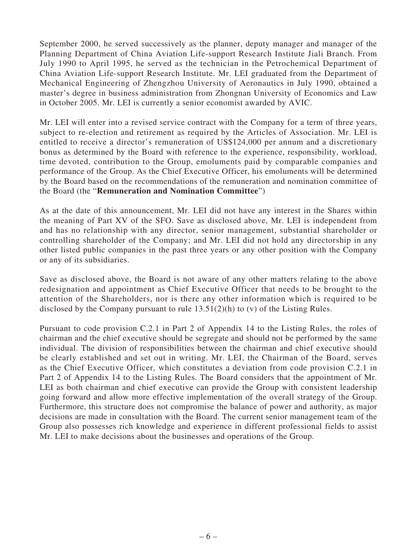September 2000, he served successively as the planner, deputy manager and manager of the Planning Department of China Aviation Life-support Research Institute Jiali Branch. From July 1990 to April 1995, he served as the technician in the Petrochemical Department of China Aviation Life-support Research Institute. Mr. LEI graduated from the Department of Mechanical Engineering of Zhengzhou University of Aeronautics in July 1990, obtained a master's degree in business administration from Zhongnan University of Economics and Law in October 2005. Mr. LEI is currently a senior economist awarded by AVIC.

Mr. LEI will enter into a revised service contract with the Company for a term of three years, subject to re-election and retirement as required by the Articles of Association. Mr. LEI is entitled to receive a director's remuneration of US\$124,000 per annum and a discretionary bonus as determined by the Board with reference to the experience, responsibility, workload, time devoted, contribution to the Group, emoluments paid by comparable companies and performance of the Group. As the Chief Executive Officer, his emoluments will be determined by the Board based on the recommendations of the remuneration and nomination committee of the Board (the "**Remuneration and Nomination Committee**")

As at the date of this announcement, Mr. LEI did not have any interest in the Shares within the meaning of Part XV of the SFO. Save as disclosed above, Mr. LEI is independent from and has no relationship with any director, senior management, substantial shareholder or controlling shareholder of the Company; and Mr. LEI did not hold any directorship in any other listed public companies in the past three years or any other position with the Company or any of its subsidiaries.

Save as disclosed above, the Board is not aware of any other matters relating to the above redesignation and appointment as Chief Executive Officer that needs to be brought to the attention of the Shareholders, nor is there any other information which is required to be disclosed by the Company pursuant to rule 13.51(2)(h) to (v) of the Listing Rules.

Pursuant to code provision C.2.1 in Part 2 of Appendix 14 to the Listing Rules, the roles of chairman and the chief executive should be segregate and should not be performed by the same individual. The division of responsibilities between the chairman and chief executive should be clearly established and set out in writing. Mr. LEI, the Chairman of the Board, serves as the Chief Executive Officer, which constitutes a deviation from code provision C.2.1 in Part 2 of Appendix 14 to the Listing Rules. The Board considers that the appointment of Mr. LEI as both chairman and chief executive can provide the Group with consistent leadership going forward and allow more effective implementation of the overall strategy of the Group. Furthermore, this structure does not compromise the balance of power and authority, as major decisions are made in consultation with the Board. The current senior management team of the Group also possesses rich knowledge and experience in different professional fields to assist Mr. LEI to make decisions about the businesses and operations of the Group.